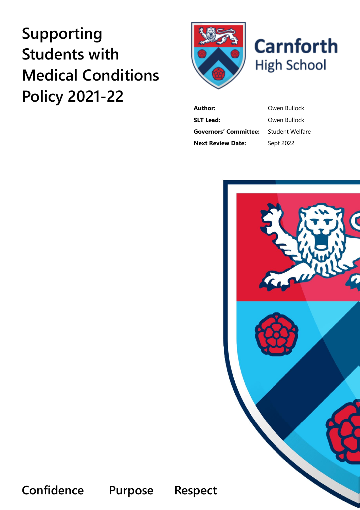# **Supporting Students with Medical Conditions Policy 2021-22**





**Author:** Owen Bullock **SLT Lead:** Owen Bullock **Governors' Committee:** Student Welfare **Next Review Date:** Sept 2022



**Confidence Purpose Respect**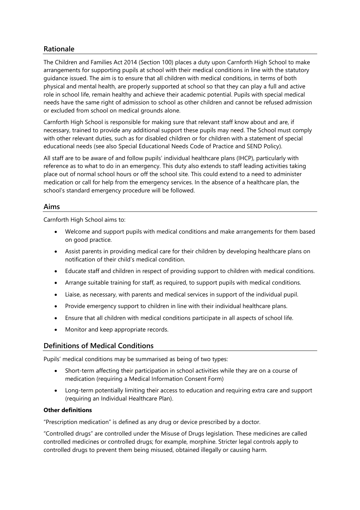# **Rationale**

The Children and Families Act 2014 (Section 100) places a duty upon Carnforth High School to make arrangements for supporting pupils at school with their medical conditions in line with the statutory guidance issued. The aim is to ensure that all children with medical conditions, in terms of both physical and mental health, are properly supported at school so that they can play a full and active role in school life, remain healthy and achieve their academic potential. Pupils with special medical needs have the same right of admission to school as other children and cannot be refused admission or excluded from school on medical grounds alone.

Carnforth High School is responsible for making sure that relevant staff know about and are, if necessary, trained to provide any additional support these pupils may need. The School must comply with other relevant duties, such as for disabled children or for children with a statement of special educational needs (see also Special Educational Needs Code of Practice and SEND Policy).

All staff are to be aware of and follow pupils' individual healthcare plans (IHCP), particularly with reference as to what to do in an emergency. This duty also extends to staff leading activities taking place out of normal school hours or off the school site. This could extend to a need to administer medication or call for help from the emergency services. In the absence of a healthcare plan, the school's standard emergency procedure will be followed.

#### **Aims**

Carnforth High School aims to:

- Welcome and support pupils with medical conditions and make arrangements for them based on good practice.
- Assist parents in providing medical care for their children by developing healthcare plans on notification of their child's medical condition.
- Educate staff and children in respect of providing support to children with medical conditions.
- Arrange suitable training for staff, as required, to support pupils with medical conditions.
- Liaise, as necessary, with parents and medical services in support of the individual pupil.
- Provide emergency support to children in line with their individual healthcare plans.
- Ensure that all children with medical conditions participate in all aspects of school life.
- Monitor and keep appropriate records.

# **Definitions of Medical Conditions**

Pupils' medical conditions may be summarised as being of two types:

- Short-term affecting their participation in school activities while they are on a course of medication (requiring a Medical Information Consent Form)
- Long-term potentially limiting their access to education and requiring extra care and support (requiring an Individual Healthcare Plan).

#### **Other definitions**

"Prescription medication" is defined as any drug or device prescribed by a doctor.

"Controlled drugs" are controlled under the Misuse of Drugs legislation. These medicines are called controlled medicines or controlled drugs; for example, morphine. Stricter legal controls apply to controlled drugs to prevent them being misused, obtained illegally or causing harm.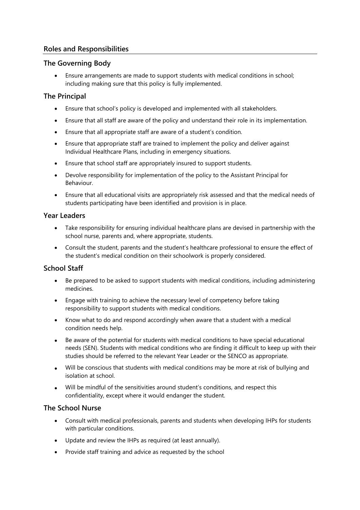# **Roles and Responsibilities**

## **The Governing Body**

• Ensure arrangements are made to support students with medical conditions in school; including making sure that this policy is fully implemented.

## **The Principal**

- Ensure that school's policy is developed and implemented with all stakeholders.
- Ensure that all staff are aware of the policy and understand their role in its implementation.
- Ensure that all appropriate staff are aware of a student's condition.
- Ensure that appropriate staff are trained to implement the policy and deliver against Individual Healthcare Plans, including in emergency situations.
- Ensure that school staff are appropriately insured to support students.
- Devolve responsibility for implementation of the policy to the Assistant Principal for Behaviour.
- Ensure that all educational visits are appropriately risk assessed and that the medical needs of students participating have been identified and provision is in place.

#### **Year Leaders**

- Take responsibility for ensuring individual healthcare plans are devised in partnership with the school nurse, parents and, where appropriate, students.
- Consult the student, parents and the student's healthcare professional to ensure the effect of the student's medical condition on their schoolwork is properly considered.

# **School Staff**

- Be prepared to be asked to support students with medical conditions, including administering medicines.
- Engage with training to achieve the necessary level of competency before taking responsibility to support students with medical conditions.
- Know what to do and respond accordingly when aware that a student with a medical condition needs help.
- Be aware of the potential for students with medical conditions to have special educational needs (SEN). Students with medical conditions who are finding it difficult to keep up with their studies should be referred to the relevant Year Leader or the SENCO as appropriate.
- Will be conscious that students with medical conditions may be more at risk of bullying and isolation at school.
- Will be mindful of the sensitivities around student's conditions, and respect this confidentiality, except where it would endanger the student.

#### **The School Nurse**

- Consult with medical professionals, parents and students when developing IHPs for students with particular conditions.
- Update and review the IHPs as required (at least annually).
- Provide staff training and advice as requested by the school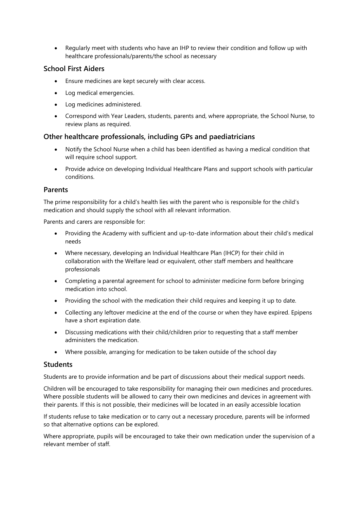• Regularly meet with students who have an IHP to review their condition and follow up with healthcare professionals/parents/the school as necessary

## **School First Aiders**

- Ensure medicines are kept securely with clear access.
- Log medical emergencies.
- Log medicines administered.
- Correspond with Year Leaders, students, parents and, where appropriate, the School Nurse, to review plans as required.

## **Other healthcare professionals, including GPs and paediatricians**

- Notify the School Nurse when a child has been identified as having a medical condition that will require school support.
- Provide advice on developing Individual Healthcare Plans and support schools with particular conditions.

#### **Parents**

The prime responsibility for a child's health lies with the parent who is responsible for the child's medication and should supply the school with all relevant information.

Parents and carers are responsible for:

- Providing the Academy with sufficient and up-to-date information about their child's medical needs
- Where necessary, developing an Individual Healthcare Plan (IHCP) for their child in collaboration with the Welfare lead or equivalent, other staff members and healthcare professionals
- Completing a parental agreement for school to administer medicine form before bringing medication into school.
- Providing the school with the medication their child requires and keeping it up to date.
- Collecting any leftover medicine at the end of the course or when they have expired. Epipens have a short expiration date.
- Discussing medications with their child/children prior to requesting that a staff member administers the medication.
- Where possible, arranging for medication to be taken outside of the school day

#### **Students**

Students are to provide information and be part of discussions about their medical support needs.

Children will be encouraged to take responsibility for managing their own medicines and procedures. Where possible students will be allowed to carry their own medicines and devices in agreement with their parents. If this is not possible, their medicines will be located in an easily accessible location

If students refuse to take medication or to carry out a necessary procedure, parents will be informed so that alternative options can be explored.

Where appropriate, pupils will be encouraged to take their own medication under the supervision of a relevant member of staff.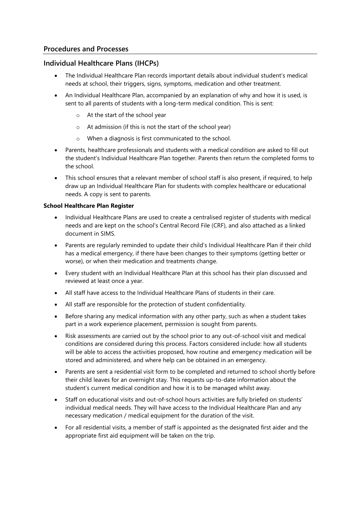## **Procedures and Processes**

#### **Individual Healthcare Plans (IHCPs)**

- The Individual Healthcare Plan records important details about individual student's medical needs at school, their triggers, signs, symptoms, medication and other treatment.
- An Individual Healthcare Plan, accompanied by an explanation of why and how it is used, is sent to all parents of students with a long-term medical condition. This is sent:
	- o At the start of the school year
	- o At admission (if this is not the start of the school year)
	- o When a diagnosis is first communicated to the school.
- Parents, healthcare professionals and students with a medical condition are asked to fill out the student's Individual Healthcare Plan together. Parents then return the completed forms to the school.
- This school ensures that a relevant member of school staff is also present, if required, to help draw up an Individual Healthcare Plan for students with complex healthcare or educational needs. A copy is sent to parents.

#### **School Healthcare Plan Register**

- Individual Healthcare Plans are used to create a centralised register of students with medical needs and are kept on the school's Central Record File (CRF), and also attached as a linked document in SIMS.
- Parents are regularly reminded to update their child's Individual Healthcare Plan if their child has a medical emergency, if there have been changes to their symptoms (getting better or worse), or when their medication and treatments change.
- Every student with an Individual Healthcare Plan at this school has their plan discussed and reviewed at least once a year.
- All staff have access to the Individual Healthcare Plans of students in their care.
- All staff are responsible for the protection of student confidentiality.
- Before sharing any medical information with any other party, such as when a student takes part in a work experience placement, permission is sought from parents.
- Risk assessments are carried out by the school prior to any out-of-school visit and medical conditions are considered during this process. Factors considered include: how all students will be able to access the activities proposed, how routine and emergency medication will be stored and administered, and where help can be obtained in an emergency.
- Parents are sent a residential visit form to be completed and returned to school shortly before their child leaves for an overnight stay. This requests up-to-date information about the student's current medical condition and how it is to be managed whilst away.
- Staff on educational visits and out-of-school hours activities are fully briefed on students' individual medical needs. They will have access to the Individual Healthcare Plan and any necessary medication / medical equipment for the duration of the visit.
- For all residential visits, a member of staff is appointed as the designated first aider and the appropriate first aid equipment will be taken on the trip.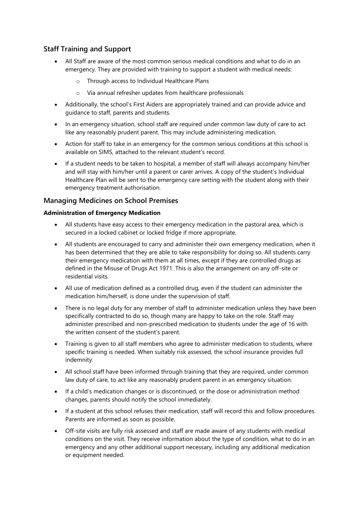# **Staff Training and Support**

- All Staff are aware of the most common serious medical conditions and what to do in an emergency. They are provided with training to support a student with medical needs:
	- Through access to Individual Healthcare Plans
	- o Via annual refresher updates from healthcare professionals
- Additionally, the school's First Aiders are appropriately trained and can provide advice and guidance to staff, parents and students.
- In an emergency situation, school staff are required under common law duty of care to act like any reasonably prudent parent. This may include administering medication.
- Action for staff to take in an emergency for the common serious conditions at this school is available on SIMS, attached to the relevant student's record.
- If a student needs to be taken to hospital, a member of staff will always accompany him/her and will stay with him/her until a parent or carer arrives. A copy of the student's Individual Healthcare Plan will be sent to the emergency care setting with the student along with their emergency treatment authorisation.

# **Managing Medicines on School Premises**

#### **Administration of Emergency Medication**

- All students have easy access to their emergency medication in the pastoral area, which is secured in a locked cabinet or locked fridge if more appropriate.
- All students are encouraged to carry and administer their own emergency medication, when it has been determined that they are able to take responsibility for doing so. All students carry their emergency medication with them at all times, except if they are controlled drugs as defined in the Misuse of Drugs Act 1971. This is also the arrangement on any off-site or residential visits.
- All use of medication defined as a controlled drug, even if the student can administer the medication him/herself, is done under the supervision of staff.
- There is no legal duty for any member of staff to administer medication unless they have been specifically contracted to do so, though many are happy to take on the role. Staff may administer prescribed and non-prescribed medication to students under the age of 16 with the written consent of the student's parent.
- Training is given to all staff members who agree to administer medication to students, where specific training is needed. When suitably risk assessed, the school insurance provides full indemnity.
- All school staff have been informed through training that they are required, under common law duty of care, to act like any reasonably prudent parent in an emergency situation.
- If a child's medication changes or is discontinued, or the dose or administration method changes, parents should notify the school immediately.
- If a student at this school refuses their medication, staff will record this and follow procedures. Parents are informed as soon as possible.
- Off-site visits are fully risk assessed and staff are made aware of any students with medical conditions on the visit. They receive information about the type of condition, what to do in an emergency and any other additional support necessary, including any additional medication or equipment needed.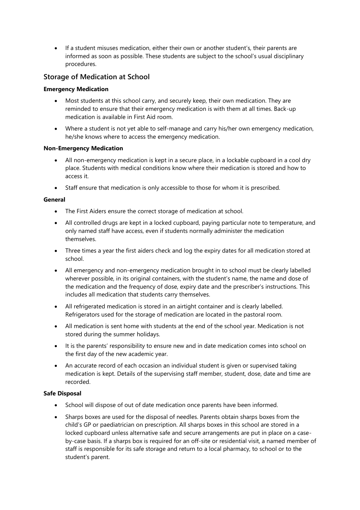• If a student misuses medication, either their own or another student's, their parents are informed as soon as possible. These students are subject to the school's usual disciplinary procedures.

# **Storage of Medication at School**

#### **Emergency Medication**

- Most students at this school carry, and securely keep, their own medication. They are reminded to ensure that their emergency medication is with them at all times. Back-up medication is available in First Aid room.
- Where a student is not yet able to self-manage and carry his/her own emergency medication, he/she knows where to access the emergency medication.

#### **Non-Emergency Medication**

- All non-emergency medication is kept in a secure place, in a lockable cupboard in a cool dry place. Students with medical conditions know where their medication is stored and how to access it.
- Staff ensure that medication is only accessible to those for whom it is prescribed.

#### **General**

- The First Aiders ensure the correct storage of medication at school.
- All controlled drugs are kept in a locked cupboard, paying particular note to temperature, and only named staff have access, even if students normally administer the medication themselves.
- Three times a year the first aiders check and log the expiry dates for all medication stored at school.
- All emergency and non-emergency medication brought in to school must be clearly labelled wherever possible, in its original containers, with the student's name, the name and dose of the medication and the frequency of dose, expiry date and the prescriber's instructions. This includes all medication that students carry themselves.
- All refrigerated medication is stored in an airtight container and is clearly labelled. Refrigerators used for the storage of medication are located in the pastoral room.
- All medication is sent home with students at the end of the school year. Medication is not stored during the summer holidays.
- It is the parents' responsibility to ensure new and in date medication comes into school on the first day of the new academic year.
- An accurate record of each occasion an individual student is given or supervised taking medication is kept. Details of the supervising staff member, student, dose, date and time are recorded.

#### **Safe Disposal**

- School will dispose of out of date medication once parents have been informed.
- Sharps boxes are used for the disposal of needles. Parents obtain sharps boxes from the child's GP or paediatrician on prescription. All sharps boxes in this school are stored in a locked cupboard unless alternative safe and secure arrangements are put in place on a caseby-case basis. If a sharps box is required for an off-site or residential visit, a named member of staff is responsible for its safe storage and return to a local pharmacy, to school or to the student's parent.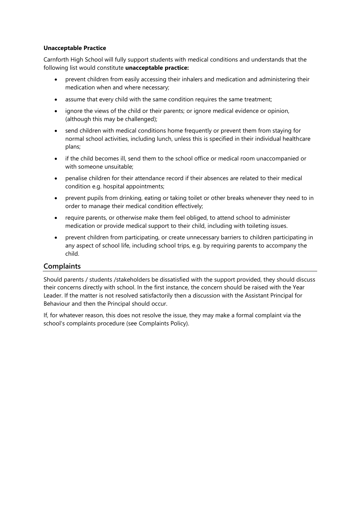#### **Unacceptable Practice**

Carnforth High School will fully support students with medical conditions and understands that the following list would constitute **unacceptable practice:**

- prevent children from easily accessing their inhalers and medication and administering their medication when and where necessary;
- assume that every child with the same condition requires the same treatment;
- ignore the views of the child or their parents; or ignore medical evidence or opinion, (although this may be challenged);
- send children with medical conditions home frequently or prevent them from staying for normal school activities, including lunch, unless this is specified in their individual healthcare plans;
- if the child becomes ill, send them to the school office or medical room unaccompanied or with someone unsuitable;
- penalise children for their attendance record if their absences are related to their medical condition e.g. hospital appointments;
- prevent pupils from drinking, eating or taking toilet or other breaks whenever they need to in order to manage their medical condition effectively;
- require parents, or otherwise make them feel obliged, to attend school to administer medication or provide medical support to their child, including with toileting issues.
- prevent children from participating, or create unnecessary barriers to children participating in any aspect of school life, including school trips, e.g. by requiring parents to accompany the child.

# **Complaints**

Should parents / students /stakeholders be dissatisfied with the support provided, they should discuss their concerns directly with school. In the first instance, the concern should be raised with the Year Leader. If the matter is not resolved satisfactorily then a discussion with the Assistant Principal for Behaviour and then the Principal should occur.

If, for whatever reason, this does not resolve the issue, they may make a formal complaint via the school's complaints procedure (see Complaints Policy).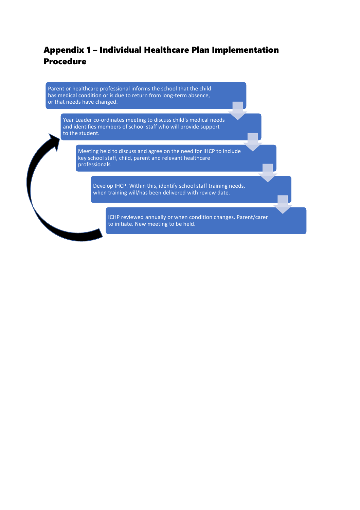# Appendix 1 – Individual Healthcare Plan Implementation Procedure

Parent or healthcare professional informs the school that the child has medical condition or is due to return from long-term absence, or that needs have changed.

Year Leader co-ordinates meeting to discuss child's medical needs and identifies members of school staff who will provide support to the student.

Meeting held to discuss and agree on the need for IHCP to include key school staff, child, parent and relevant healthcare professionals

Develop IHCP. Within this, identify school staff training needs, when training will/has been delivered with review date.

ICHP reviewed annually or when condition changes. Parent/carer to initiate. New meeting to be held.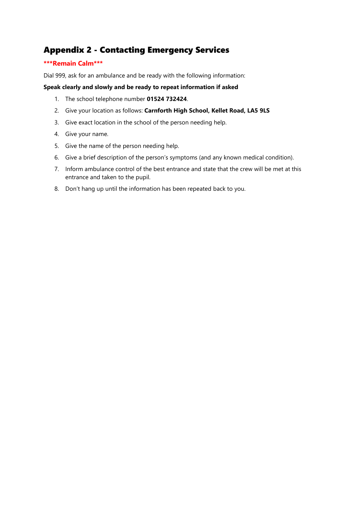# Appendix 2 - Contacting Emergency Services

#### **\*\*\*Remain Calm\*\*\***

Dial 999, ask for an ambulance and be ready with the following information:

#### **Speak clearly and slowly and be ready to repeat information if asked**

- 1. The school telephone number **01524 732424**.
- 2. Give your location as follows: **Carnforth High School, Kellet Road, LA5 9LS**
- 3. Give exact location in the school of the person needing help.
- 4. Give your name.
- 5. Give the name of the person needing help.
- 6. Give a brief description of the person's symptoms (and any known medical condition).
- 7. Inform ambulance control of the best entrance and state that the crew will be met at this entrance and taken to the pupil.
- 8. Don't hang up until the information has been repeated back to you.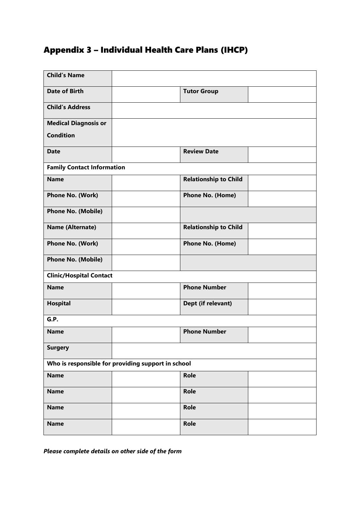# Appendix 3 – Individual Health Care Plans (IHCP)

| <b>Child's Name</b>                                |  |                              |  |  |
|----------------------------------------------------|--|------------------------------|--|--|
| <b>Date of Birth</b>                               |  | <b>Tutor Group</b>           |  |  |
| <b>Child's Address</b>                             |  |                              |  |  |
| <b>Medical Diagnosis or</b>                        |  |                              |  |  |
| <b>Condition</b>                                   |  |                              |  |  |
| <b>Date</b>                                        |  | <b>Review Date</b>           |  |  |
| <b>Family Contact Information</b>                  |  |                              |  |  |
| <b>Name</b>                                        |  | <b>Relationship to Child</b> |  |  |
| Phone No. (Work)                                   |  | <b>Phone No. (Home)</b>      |  |  |
| <b>Phone No. (Mobile)</b>                          |  |                              |  |  |
| Name (Alternate)                                   |  | <b>Relationship to Child</b> |  |  |
| Phone No. (Work)                                   |  | Phone No. (Home)             |  |  |
| <b>Phone No. (Mobile)</b>                          |  |                              |  |  |
| <b>Clinic/Hospital Contact</b>                     |  |                              |  |  |
| <b>Name</b>                                        |  | <b>Phone Number</b>          |  |  |
| <b>Hospital</b>                                    |  | Dept (if relevant)           |  |  |
| G.P.                                               |  |                              |  |  |
| <b>Name</b>                                        |  | <b>Phone Number</b>          |  |  |
| <b>Surgery</b>                                     |  |                              |  |  |
| Who is responsible for providing support in school |  |                              |  |  |
| <b>Name</b>                                        |  | Role                         |  |  |
| <b>Name</b>                                        |  | Role                         |  |  |
| <b>Name</b>                                        |  | <b>Role</b>                  |  |  |
| <b>Name</b>                                        |  | Role                         |  |  |

*Please complete details on other side of the form*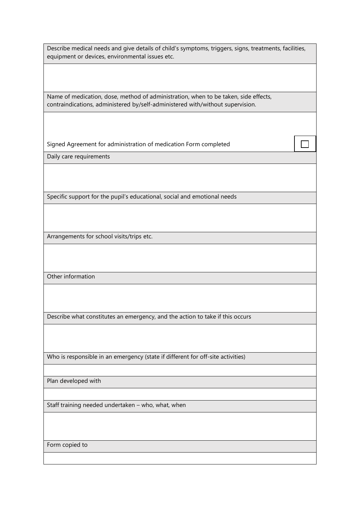| Describe medical needs and give details of child's symptoms, triggers, signs, treatments, facilities,<br>equipment or devices, environmental issues etc.              |  |
|-----------------------------------------------------------------------------------------------------------------------------------------------------------------------|--|
|                                                                                                                                                                       |  |
| Name of medication, dose, method of administration, when to be taken, side effects,<br>contraindications, administered by/self-administered with/without supervision. |  |
|                                                                                                                                                                       |  |
| Signed Agreement for administration of medication Form completed                                                                                                      |  |
| Daily care requirements                                                                                                                                               |  |
|                                                                                                                                                                       |  |
| Specific support for the pupil's educational, social and emotional needs                                                                                              |  |
|                                                                                                                                                                       |  |
| Arrangements for school visits/trips etc.                                                                                                                             |  |
|                                                                                                                                                                       |  |
| Other information                                                                                                                                                     |  |
|                                                                                                                                                                       |  |
| Describe what constitutes an emergency, and the action to take if this occurs                                                                                         |  |
|                                                                                                                                                                       |  |
| Who is responsible in an emergency (state if different for off-site activities)                                                                                       |  |
|                                                                                                                                                                       |  |
| Plan developed with                                                                                                                                                   |  |
| Staff training needed undertaken - who, what, when                                                                                                                    |  |
|                                                                                                                                                                       |  |
|                                                                                                                                                                       |  |
| Form copied to                                                                                                                                                        |  |
|                                                                                                                                                                       |  |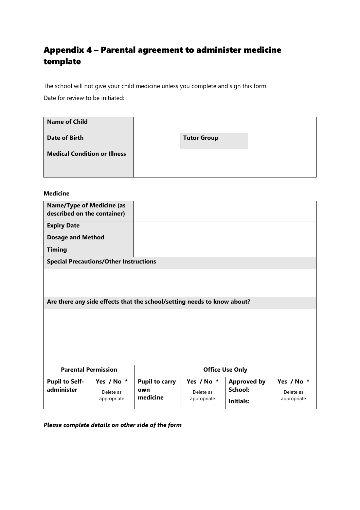# Appendix 4 – Parental agreement to administer medicine template

The school will not give your child medicine unless you complete and sign this form.

Date for review to be initiated:

| <b>Name of Child</b>                |                    |  |
|-------------------------------------|--------------------|--|
| <b>Date of Birth</b>                | <b>Tutor Group</b> |  |
| <b>Medical Condition or Illness</b> |                    |  |

#### **Medicine**

| <b>Name/Type of Medicine (as</b><br>described on the container) |                                               |                                                                         |             |                        |             |  |
|-----------------------------------------------------------------|-----------------------------------------------|-------------------------------------------------------------------------|-------------|------------------------|-------------|--|
| <b>Expiry Date</b>                                              |                                               |                                                                         |             |                        |             |  |
| <b>Dosage and Method</b>                                        |                                               |                                                                         |             |                        |             |  |
| <b>Timing</b>                                                   |                                               |                                                                         |             |                        |             |  |
|                                                                 | <b>Special Precautions/Other Instructions</b> |                                                                         |             |                        |             |  |
|                                                                 |                                               |                                                                         |             |                        |             |  |
|                                                                 |                                               | Are there any side effects that the school/setting needs to know about? |             |                        |             |  |
|                                                                 |                                               |                                                                         |             |                        |             |  |
|                                                                 |                                               |                                                                         |             |                        |             |  |
|                                                                 |                                               |                                                                         |             |                        |             |  |
|                                                                 |                                               |                                                                         |             |                        |             |  |
| <b>Parental Permission</b>                                      |                                               |                                                                         |             | <b>Office Use Only</b> |             |  |
|                                                                 |                                               |                                                                         |             |                        |             |  |
| <b>Pupil to Self-</b>                                           | Yes / No *                                    | <b>Pupil to carry</b>                                                   | Yes / No *  | <b>Approved by</b>     | Yes / No *  |  |
| administer                                                      | Delete as                                     | own                                                                     | Delete as   | School:                | Delete as   |  |
|                                                                 | appropriate                                   | medicine                                                                | appropriate | Initials:              | appropriate |  |

*Please complete details on other side of the form*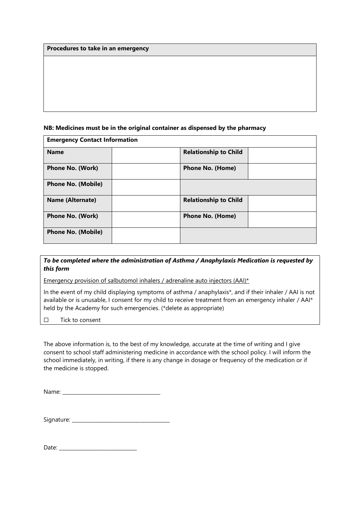**Procedures to take in an emergency**

#### **NB: Medicines must be in the original container as dispensed by the pharmacy**

| <b>Emergency Contact Information</b> |  |                              |  |  |
|--------------------------------------|--|------------------------------|--|--|
| <b>Name</b>                          |  | <b>Relationship to Child</b> |  |  |
| <b>Phone No. (Work)</b>              |  | <b>Phone No. (Home)</b>      |  |  |
| <b>Phone No. (Mobile)</b>            |  |                              |  |  |
| <b>Name (Alternate)</b>              |  | <b>Relationship to Child</b> |  |  |
| <b>Phone No. (Work)</b>              |  | <b>Phone No. (Home)</b>      |  |  |
| <b>Phone No. (Mobile)</b>            |  |                              |  |  |

## *To be completed where the administration of Asthma / Anaphylaxis Medication is requested by this form*

Emergency provision of salbutomol inhalers / adrenaline auto injectors (AAI)\*

In the event of my child displaying symptoms of asthma / anaphylaxis\*, and if their inhaler / AAI is not available or is unusable, I consent for my child to receive treatment from an emergency inhaler / AAI\* held by the Academy for such emergencies. (\*delete as appropriate)

#### ☐ Tick to consent

The above information is, to the best of my knowledge, accurate at the time of writing and I give consent to school staff administering medicine in accordance with the school policy. I will inform the school immediately, in writing, if there is any change in dosage or frequency of the medication or if the medicine is stopped.

Name: \_\_\_\_\_\_\_\_\_\_\_\_\_\_\_\_\_\_\_\_\_\_\_\_\_\_\_\_\_\_\_\_\_\_\_\_\_\_\_

| Signature: |  |
|------------|--|
|------------|--|

Date:  $\Box$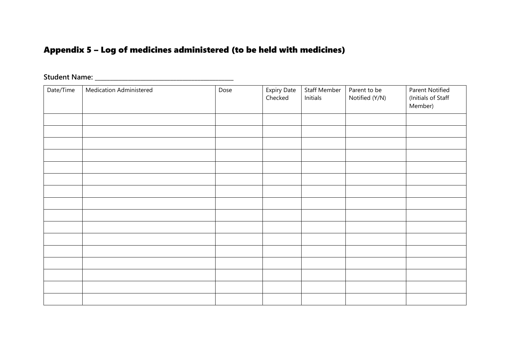# Appendix 5 – Log of medicines administered (to be held with medicines)

| Date/Time | <b>Medication Administered</b> | Dose | Expiry Date<br>Checked | <b>Staff Member</b><br>Initials | Parent to be<br>Notified (Y/N) | Parent Notified<br>(Initials of Staff<br>Member) |
|-----------|--------------------------------|------|------------------------|---------------------------------|--------------------------------|--------------------------------------------------|
|           |                                |      |                        |                                 |                                |                                                  |
|           |                                |      |                        |                                 |                                |                                                  |
|           |                                |      |                        |                                 |                                |                                                  |
|           |                                |      |                        |                                 |                                |                                                  |
|           |                                |      |                        |                                 |                                |                                                  |
|           |                                |      |                        |                                 |                                |                                                  |
|           |                                |      |                        |                                 |                                |                                                  |
|           |                                |      |                        |                                 |                                |                                                  |
|           |                                |      |                        |                                 |                                |                                                  |
|           |                                |      |                        |                                 |                                |                                                  |
|           |                                |      |                        |                                 |                                |                                                  |
|           |                                |      |                        |                                 |                                |                                                  |
|           |                                |      |                        |                                 |                                |                                                  |
|           |                                |      |                        |                                 |                                |                                                  |
|           |                                |      |                        |                                 |                                |                                                  |
|           |                                |      |                        |                                 |                                |                                                  |

# **Student Name: \_\_\_\_\_\_\_\_\_\_\_\_\_\_\_\_\_\_\_\_\_\_\_\_\_\_\_\_\_\_\_\_\_\_\_\_\_\_\_\_\_\_\_\_\_\_**